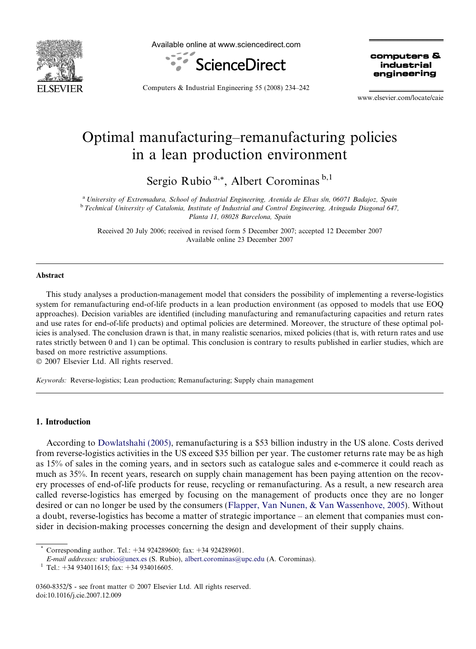

Available online at www.sciencedirect.com



computers & industrial engineering

Computers & Industrial Engineering 55 (2008) 234–242

www.elsevier.com/locate/caie

## Optimal manufacturing–remanufacturing policies in a lean production environment

Sergio Rubio<sup>a,\*</sup>, Albert Corominas<sup>b,1</sup>

<sup>a</sup> University of Extremadura, School of Industrial Engineering, Avenida de Elvas sln, 06071 Badajoz, Spain <sup>b</sup> Technical University of Catalonia, Institute of Industrial and Control Engineering, Avinguda Diagonal 647, Planta 11, 08028 Barcelona, Spain

Received 20 July 2006; received in revised form 5 December 2007; accepted 12 December 2007 Available online 23 December 2007

## Abstract

This study analyses a production-management model that considers the possibility of implementing a reverse-logistics system for remanufacturing end-of-life products in a lean production environment (as opposed to models that use EOQ approaches). Decision variables are identified (including manufacturing and remanufacturing capacities and return rates and use rates for end-of-life products) and optimal policies are determined. Moreover, the structure of these optimal policies is analysed. The conclusion drawn is that, in many realistic scenarios, mixed policies (that is, with return rates and use rates strictly between 0 and 1) can be optimal. This conclusion is contrary to results published in earlier studies, which are based on more restrictive assumptions.

 $© 2007 Elsevier Ltd. All rights reserved.$ 

Keywords: Reverse-logistics; Lean production; Remanufacturing; Supply chain management

## 1. Introduction

According to [Dowlatshahi \(2005\),](#page--1-0) remanufacturing is a \$53 billion industry in the US alone. Costs derived from reverse-logistics activities in the US exceed \$35 billion per year. The customer returns rate may be as high as 15% of sales in the coming years, and in sectors such as catalogue sales and e-commerce it could reach as much as 35%. In recent years, research on supply chain management has been paying attention on the recovery processes of end-of-life products for reuse, recycling or remanufacturing. As a result, a new research area called reverse-logistics has emerged by focusing on the management of products once they are no longer desired or can no longer be used by the consumers ([Flapper, Van Nunen, & Van Wassenhove, 2005](#page--1-0)). Without a doubt, reverse-logistics has become a matter of strategic importance – an element that companies must consider in decision-making processes concerning the design and development of their supply chains.

Corresponding author. Tel.: +34 924289600; fax: +34 924289601.

E-mail addresses: [srubio@unex.es](mailto:srubio@unex.es) (S. Rubio), [albert.corominas@upc.edu](mailto:albert.corominas@upc.edu) (A. Corominas). <sup>1</sup> Tel.: +34 934011615; fax: +34 934016605.

<sup>0360-8352/\$ -</sup> see front matter © 2007 Elsevier Ltd. All rights reserved. doi:10.1016/j.cie.2007.12.009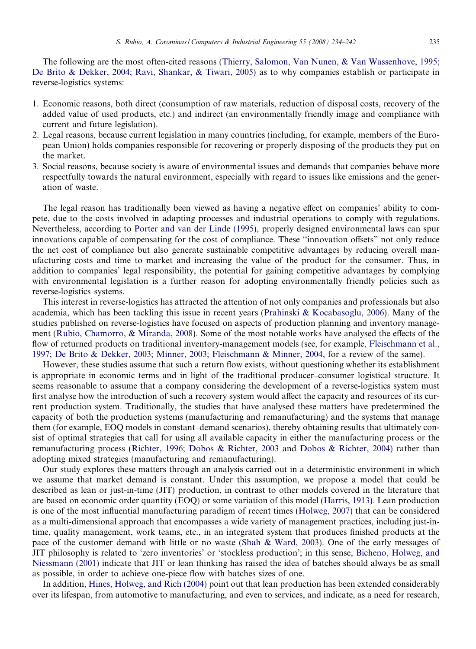The following are the most often-cited reasons [\(Thierry, Salomon, Van Nunen, & Van Wassenhove, 1995;](#page--1-0) [De Brito & Dekker, 2004; Ravi, Shankar, & Tiwari, 2005\)](#page--1-0) as to why companies establish or participate in reverse-logistics systems:

- 1. Economic reasons, both direct (consumption of raw materials, reduction of disposal costs, recovery of the added value of used products, etc.) and indirect (an environmentally friendly image and compliance with current and future legislation).
- 2. Legal reasons, because current legislation in many countries (including, for example, members of the European Union) holds companies responsible for recovering or properly disposing of the products they put on the market.
- 3. Social reasons, because society is aware of environmental issues and demands that companies behave more respectfully towards the natural environment, especially with regard to issues like emissions and the generation of waste.

The legal reason has traditionally been viewed as having a negative effect on companies' ability to compete, due to the costs involved in adapting processes and industrial operations to comply with regulations. Nevertheless, according to [Porter and van der Linde \(1995\),](#page--1-0) properly designed environmental laws can spur innovations capable of compensating for the cost of compliance. These ''innovation offsets" not only reduce the net cost of compliance but also generate sustainable competitive advantages by reducing overall manufacturing costs and time to market and increasing the value of the product for the consumer. Thus, in addition to companies' legal responsibility, the potential for gaining competitive advantages by complying with environmental legislation is a further reason for adopting environmentally friendly policies such as reverse-logistics systems.

This interest in reverse-logistics has attracted the attention of not only companies and professionals but also academia, which has been tackling this issue in recent years [\(Prahinski & Kocabasoglu, 2006](#page--1-0)). Many of the studies published on reverse-logistics have focused on aspects of production planning and inventory management [\(Rubio, Chamorro, & Miranda, 2008\)](#page--1-0). Some of the most notable works have analysed the effects of the flow of returned products on traditional inventory-management models (see, for example, [Fleischmann et al.,](#page--1-0) [1997; De Brito & Dekker, 2003; Minner, 2003; Fleischmann & Minner, 2004](#page--1-0), for a review of the same).

However, these studies assume that such a return flow exists, without questioning whether its establishment is appropriate in economic terms and in light of the traditional producer–consumer logistical structure. It seems reasonable to assume that a company considering the development of a reverse-logistics system must first analyse how the introduction of such a recovery system would affect the capacity and resources of its current production system. Traditionally, the studies that have analysed these matters have predetermined the capacity of both the production systems (manufacturing and remanufacturing) and the systems that manage them (for example, EOQ models in constant–demand scenarios), thereby obtaining results that ultimately consist of optimal strategies that call for using all available capacity in either the manufacturing process or the remanufacturing process ([Richter, 1996; Dobos & Richter, 2003](#page--1-0) and [Dobos & Richter, 2004](#page--1-0)) rather than adopting mixed strategies (manufacturing and remanufacturing).

Our study explores these matters through an analysis carried out in a deterministic environment in which we assume that market demand is constant. Under this assumption, we propose a model that could be described as lean or just-in-time (JIT) production, in contrast to other models covered in the literature that are based on economic order quantity (EOQ) or some variation of this model [\(Harris, 1913](#page--1-0)). Lean production is one of the most influential manufacturing paradigm of recent times ([Holweg, 2007](#page--1-0)) that can be considered as a multi-dimensional approach that encompasses a wide variety of management practices, including just-intime, quality management, work teams, etc., in an integrated system that produces finished products at the pace of the customer demand with little or no waste ([Shah & Ward, 2003](#page--1-0)). One of the early messages of JIT philosophy is related to 'zero inventories' or 'stockless production'; in this sense, [Bicheno, Holweg, and](#page--1-0) [Niessmann \(2001\)](#page--1-0) indicate that JIT or lean thinking has raised the idea of batches should always be as small as possible, in order to achieve one-piece flow with batches sizes of one.

In addition, [Hines, Holweg, and Rich \(2004\)](#page--1-0) point out that lean production has been extended considerably over its lifespan, from automotive to manufacturing, and even to services, and indicate, as a need for research,